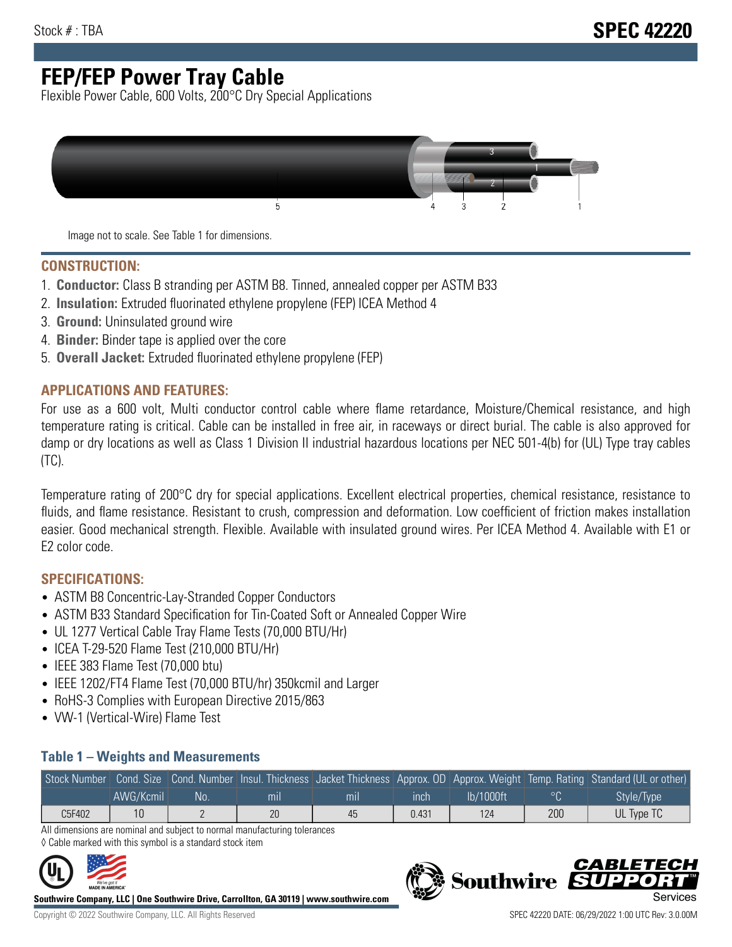## **FEP/FEP Power Tray Cable**

Flexible Power Cable, 600 Volts, 200°C Dry Special Applications



Image not to scale. See Table 1 for dimensions.

#### **CONSTRUCTION:**

- 1. **Conductor:** Class B stranding per ASTM B8. Tinned, annealed copper per ASTM B33
- 2. **Insulation:** Extruded fluorinated ethylene propylene (FEP) ICEA Method 4
- 3. **Ground:** Uninsulated ground wire
- 4. **Binder:** Binder tape is applied over the core
- 5. **Overall Jacket:** Extruded fluorinated ethylene propylene (FEP)

#### **APPLICATIONS AND FEATURES:**

For use as a 600 volt, Multi conductor control cable where flame retardance, Moisture/Chemical resistance, and high temperature rating is critical. Cable can be installed in free air, in raceways or direct burial. The cable is also approved for damp or dry locations as well as Class 1 Division II industrial hazardous locations per NEC 501-4(b) for (UL) Type tray cables (TC).

Temperature rating of 200°C dry for special applications. Excellent electrical properties, chemical resistance, resistance to fluids, and flame resistance. Resistant to crush, compression and deformation. Low coefficient of friction makes installation easier. Good mechanical strength. Flexible. Available with insulated ground wires. Per ICEA Method 4. Available with E1 or E2 color code.

### **SPECIFICATIONS:**

- ASTM B8 Concentric-Lay-Stranded Copper Conductors
- ASTM B33 Standard Specification for Tin-Coated Soft or Annealed Copper Wire
- UL 1277 Vertical Cable Tray Flame Tests (70,000 BTU/Hr)
- ICEA T-29-520 Flame Test (210,000 BTU/Hr)
- IEEE 383 Flame Test (70,000 btu)
- IEEE 1202/FT4 Flame Test (70,000 BTU/hr) 350kcmil and Larger
- RoHS-3 Complies with European Directive 2015/863
- VW-1 (Vertical-Wire) Flame Test

#### **Table 1 – Weights and Measurements**

|        |           |     |     |     |       |           |     | Stock Number Cond. Size Cond. Number Insul. Thickness Jacket Thickness Approx. OD Approx. Weight Temp. Rating Standard (UL or other) |
|--------|-----------|-----|-----|-----|-------|-----------|-----|--------------------------------------------------------------------------------------------------------------------------------------|
|        | AWG/Kcmil | No. | mıl | mil | ınch  | lb/1000ft |     | Style/Type                                                                                                                           |
| C5F402 |           |     | 20  | 45  | 0.431 | 124       | 200 | UL Type TC                                                                                                                           |

All dimensions are nominal and subject to normal manufacturing tolerances ◊ Cable marked with this symbol is a standard stock item



**Southwire Company, LLC | One Southwire Drive, Carrollton, GA 30119 | www.southwire.com**